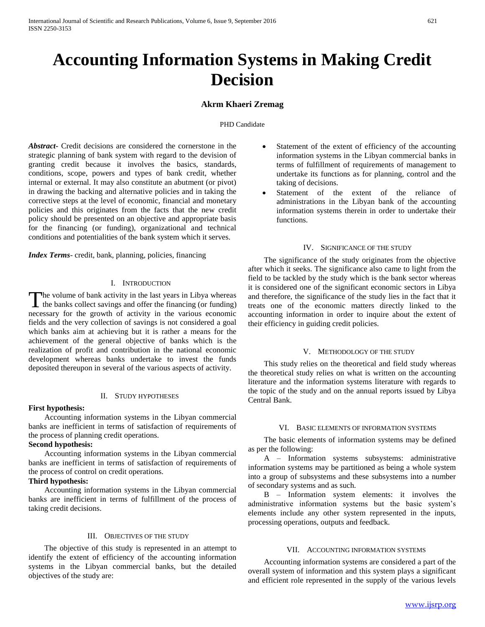# **Accounting Information Systems in Making Credit Decision**

## **Akrm Khaeri Zremag**

#### PHD Candidate

*Abstract***-** Credit decisions are considered the cornerstone in the strategic planning of bank system with regard to the devision of granting credit because it involves the basics, standards, conditions, scope, powers and types of bank credit, whether internal or external. It may also constitute an abutment (or pivot) in drawing the backing and alternative policies and in taking the corrective steps at the level of economic, financial and monetary policies and this originates from the facts that the new credit policy should be presented on an objective and appropriate basis for the financing (or funding), organizational and technical conditions and potentialities of the bank system which it serves.

*Index Terms*- credit, bank, planning, policies, financing

### I. INTRODUCTION

The volume of bank activity in the last years in Libya whereas The volume of bank activity in the last years in Libya whereas<br>the banks collect savings and offer the financing (or funding) necessary for the growth of activity in the various economic fields and the very collection of savings is not considered a goal which banks aim at achieving but it is rather a means for the achievement of the general objective of banks which is the realization of profit and contribution in the national economic development whereas banks undertake to invest the funds deposited thereupon in several of the various aspects of activity.

#### II. STUDY HYPOTHESES

#### **First hypothesis:**

 Accounting information systems in the Libyan commercial banks are inefficient in terms of satisfaction of requirements of the process of planning credit operations.

### **Second hypothesis:**

 Accounting information systems in the Libyan commercial banks are inefficient in terms of satisfaction of requirements of the process of control on credit operations.

## **Third hypothesis:**

 Accounting information systems in the Libyan commercial banks are inefficient in terms of fulfillment of the process of taking credit decisions.

## III. OBJECTIVES OF THE STUDY

 The objective of this study is represented in an attempt to identify the extent of efficiency of the accounting information systems in the Libyan commercial banks, but the detailed objectives of the study are:

- Statement of the extent of efficiency of the accounting information systems in the Libyan commercial banks in terms of fulfillment of requirements of management to undertake its functions as for planning, control and the taking of decisions.
- Statement of the extent of the reliance of administrations in the Libyan bank of the accounting information systems therein in order to undertake their functions.

#### IV. SIGNIFICANCE OF THE STUDY

 The significance of the study originates from the objective after which it seeks. The significance also came to light from the field to be tackled by the study which is the bank sector whereas it is considered one of the significant economic sectors in Libya and therefore, the significance of the study lies in the fact that it treats one of the economic matters directly linked to the accounting information in order to inquire about the extent of their efficiency in guiding credit policies.

#### V. METHODOLOGY OF THE STUDY

 This study relies on the theoretical and field study whereas the theoretical study relies on what is written on the accounting literature and the information systems literature with regards to the topic of the study and on the annual reports issued by Libya Central Bank.

#### VI. BASIC ELEMENTS OF INFORMATION SYSTEMS

 The basic elements of information systems may be defined as per the following:

 A – Information systems subsystems: administrative information systems may be partitioned as being a whole system into a group of subsystems and these subsystems into a number of secondary systems and as such.

 B – Information system elements: it involves the administrative information systems but the basic system's elements include any other system represented in the inputs, processing operations, outputs and feedback.

#### VII. ACCOUNTING INFORMATION SYSTEMS

 Accounting information systems are considered a part of the overall system of information and this system plays a significant and efficient role represented in the supply of the various levels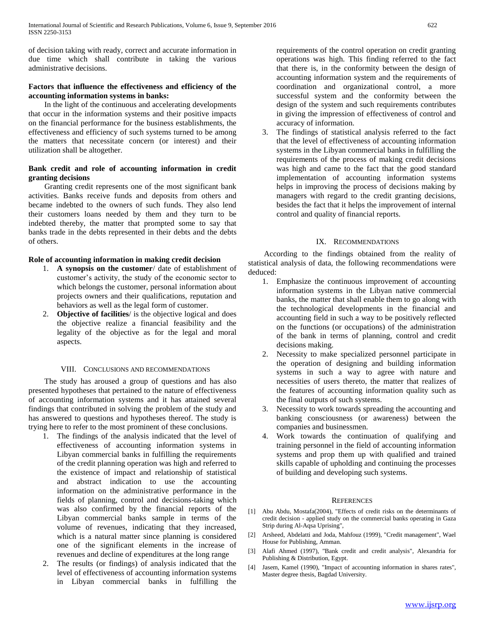of decision taking with ready, correct and accurate information in due time which shall contribute in taking the various administrative decisions.

## **Factors that influence the effectiveness and efficiency of the accounting information systems in banks:**

 In the light of the continuous and accelerating developments that occur in the information systems and their positive impacts on the financial performance for the business establishments, the effectiveness and efficiency of such systems turned to be among the matters that necessitate concern (or interest) and their utilization shall be altogether.

## **Bank credit and role of accounting information in credit granting decisions**

 Granting credit represents one of the most significant bank activities. Banks receive funds and deposits from others and became indebted to the owners of such funds. They also lend their customers loans needed by them and they turn to be indebted thereby, the matter that prompted some to say that banks trade in the debts represented in their debts and the debts of others.

## **Role of accounting information in making credit decision**

- 1. **A synopsis on the customer**/ date of establishment of customer's activity, the study of the economic sector to which belongs the customer, personal information about projects owners and their qualifications, reputation and behaviors as well as the legal form of customer.
- 2. **Objective of facilities**/ is the objective logical and does the objective realize a financial feasibility and the legality of the objective as for the legal and moral aspects.

## VIII. CONCLUSIONS AND RECOMMENDATIONS

 The study has aroused a group of questions and has also presented hypotheses that pertained to the nature of effectiveness of accounting information systems and it has attained several findings that contributed in solving the problem of the study and has answered to questions and hypotheses thereof. The study is trying here to refer to the most prominent of these conclusions.

- 1. The findings of the analysis indicated that the level of effectiveness of accounting information systems in Libyan commercial banks in fulfilling the requirements of the credit planning operation was high and referred to the existence of impact and relationship of statistical and abstract indication to use the accounting information on the administrative performance in the fields of planning, control and decisions-taking which was also confirmed by the financial reports of the Libyan commercial banks sample in terms of the volume of revenues, indicating that they increased, which is a natural matter since planning is considered one of the significant elements in the increase of revenues and decline of expenditures at the long range
- 2. The results (or findings) of analysis indicated that the level of effectiveness of accounting information systems in Libyan commercial banks in fulfilling the

requirements of the control operation on credit granting operations was high. This finding referred to the fact that there is, in the conformity between the design of accounting information system and the requirements of coordination and organizational control, a more successful system and the conformity between the design of the system and such requirements contributes in giving the impression of effectiveness of control and accuracy of information.

3. The findings of statistical analysis referred to the fact that the level of effectiveness of accounting information systems in the Libyan commercial banks in fulfilling the requirements of the process of making credit decisions was high and came to the fact that the good standard implementation of accounting information systems helps in improving the process of decisions making by managers with regard to the credit granting decisions, besides the fact that it helps the improvement of internal control and quality of financial reports.

## IX. RECOMMENDATIONS

 According to the findings obtained from the reality of statistical analysis of data, the following recommendations were deduced:

- 1. Emphasize the continuous improvement of accounting information systems in the Libyan native commercial banks, the matter that shall enable them to go along with the technological developments in the financial and accounting field in such a way to be positively reflected on the functions (or occupations) of the administration of the bank in terms of planning, control and credit decisions making.
- 2. Necessity to make specialized personnel participate in the operation of designing and building information systems in such a way to agree with nature and necessities of users thereto, the matter that realizes of the features of accounting information quality such as the final outputs of such systems.
- 3. Necessity to work towards spreading the accounting and banking consciousness (or awareness) between the companies and businessmen.
- 4. Work towards the continuation of qualifying and training personnel in the field of accounting information systems and prop them up with qualified and trained skills capable of upholding and continuing the processes of building and developing such systems.

## **REFERENCES**

- [1] Abu Abdu, Mostafa(2004), "Effects of credit risks on the determinants of credit decision - applied study on the commercial banks operating in Gaza Strip during Al-Aqsa Uprising",
- [2] Arsheed, Abdelatti and Joda, Mahfouz (1999), "Credit management", Wael House for Publishing, Amman.
- [3] Alafi Ahmed (1997), "Bank credit and credit analysis", Alexandria for Publishing & Distribution, Egypt.
- [4] Jasem, Kamel (1990), "Impact of accounting information in shares rates", Master degree thesis, Bagdad University.